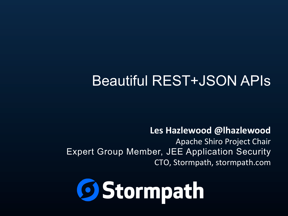### Beautiful REST+JSON APIs

#### **Les Hazlewood @lhazlewood**

Apache Shiro Project Chair Expert Group Member, JEE Application Security CTO, Stormpath, stormpath.com

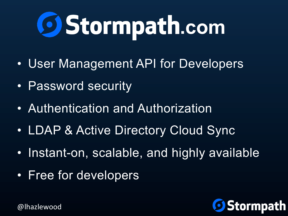# **69 Stormpath.com**

- User Management API for Developers
- Password security
- Authentication and Authorization
- LDAP & Active Directory Cloud Sync
- Instant-on, scalable, and highly available
- Free for developers

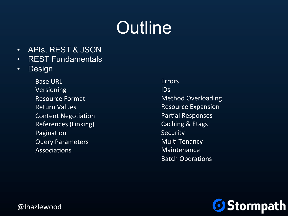# **Outline**

- APIs, REST & JSON
- REST Fundamentals
- Design

Base URL Versioning Resource Format Return Values Content Negotiation References (Linking) Pagination Query Parameters **Associations** 

Errors IDs Method Overloading **Resource Expansion** Partial Responses Caching & Etags **Security Multi Tenancy** Maintenance **Batch Operations** 

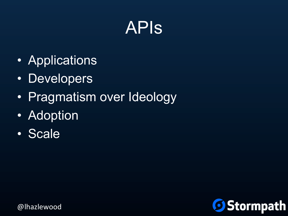## APIs

- Applications
- Developers
- Pragmatism over Ideology
- Adoption
- Scale

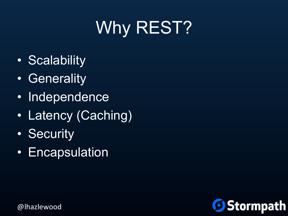# Why REST?

- Scalability
- Generality
- Independence
- Latency (Caching)
- Security
- Encapsulation

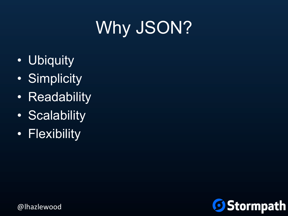# Why JSON?

- Ubiquity
- Simplicity
- Readability
- Scalability
- Flexibility

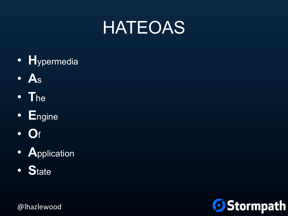# **HATEOAS**

- · Hypermedia
- $\bullet$  As
- $\bullet$  The
- Engine
- $\bullet$  Of
- · Application
- State

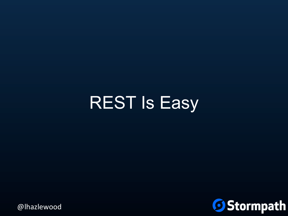# REST Is Easy

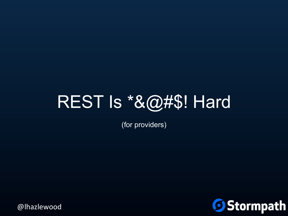## REST Is \*&@#\$! Hard

(for providers)

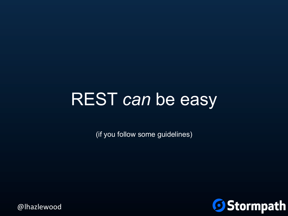## REST *can* be easy

(if you follow some guidelines)

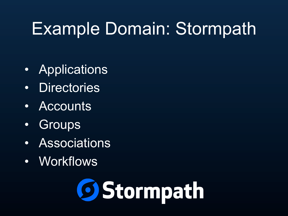# Example Domain: Stormpath

- Applications
- Directories
- **Accounts**
- Groups
- Associations
- Workflows

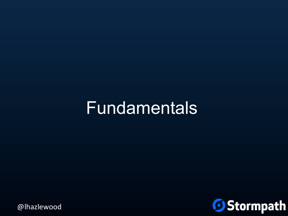## Fundamentals

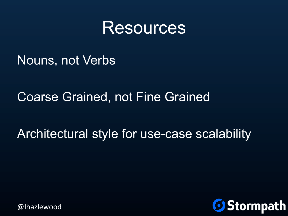### **Resources**

Nouns, not Verbs

#### Coarse Grained, not Fine Grained

#### Architectural style for use-case scalability

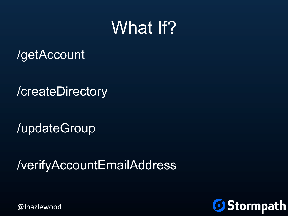## What If?

/getAccount

/createDirectory

/updateGroup

/verifyAccountEmailAddress

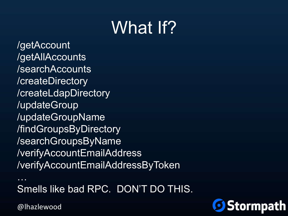# What If?

/getAccount /getAllAccounts /searchAccounts /createDirectory /createLdapDirectory /updateGroup /updateGroupName /findGroupsByDirectory /searchGroupsByName /verifyAccountEmailAddress /verifyAccountEmailAddressByToken

… Smells like bad RPC. DON'T DO THIS.

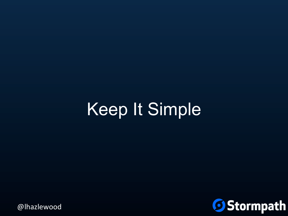# Keep It Simple

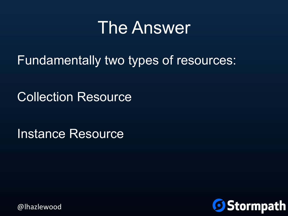## The Answer

Fundamentally two types of resources:

Collection Resource

Instance Resource

**Stormpath**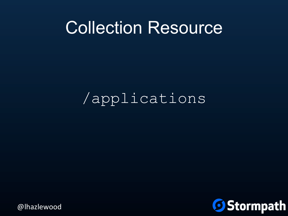### Collection Resource

### /applications

**Stormpath**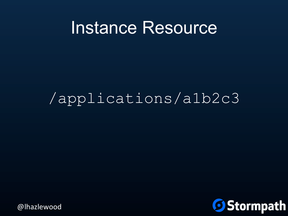### Instance Resource

### /applications/a1b2c3

Stormpath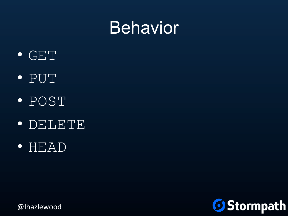## **Behavior**



- PUT
- POST
- DELETE
- HEAD

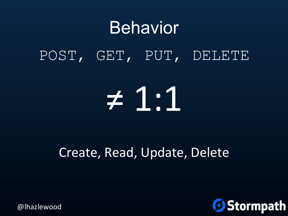# Behavior POST, GET, PUT, DELETE

# ≠ 1:1

### Create, Read, Update, Delete

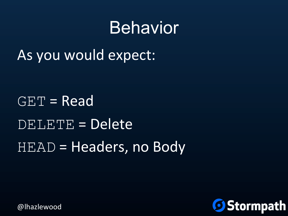## Behavior

As you would expect:

 $GET = Read$  $DELETE = Delete$  $HEAD = \text{Headers}$ , no Body

Stormpath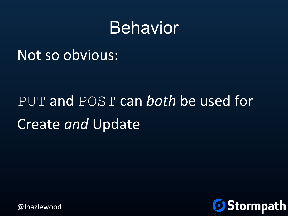## Behavior

### Not so obvious:

# PUT and POST can *both* be used for Create *and* Update

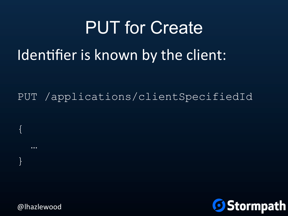# PUT for Create Identifier is known by the client:

PUT /applications/clientSpecifiedId



@lhazlewood

{

…

}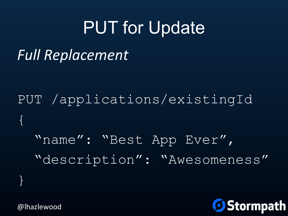# PUT for Update

### *Full Replacement*

PUT /applications/existingId  $\{$ "name": "Best App Ever", "description": "Awesomeness"

**Stormpath** 

@lhazlewood

}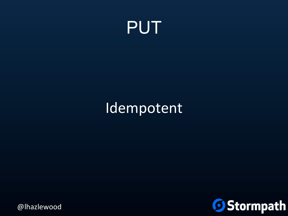

### Idempotent

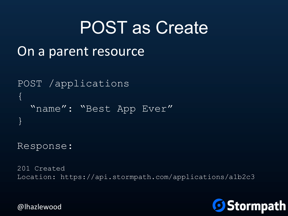## POST as Create

```
On a parent resource
```

```
POST /applications 
{ 
   "name": "Best App Ever" 
}
```
Response:

201 Created Location: https://api.stormpath.com/applications/a1b2c3

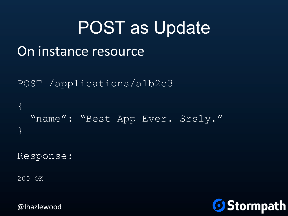```
POST as Update 
On instance resource
POST /applications/a1b2c3 
{ 
   "name": "Best App Ever. Srsly." 
}
```
Response:

200 OK

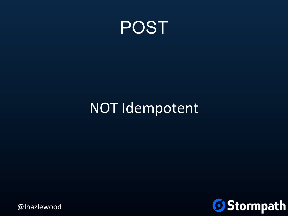

### NOT Idempotent

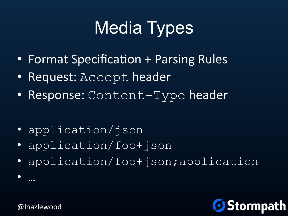# Media Types

- Format Specification + Parsing Rules
- Request: Accept header
- Response: Content-Type header
- application/json
- application/foo+json
- application/foo+json;application



@lhazlewood

• …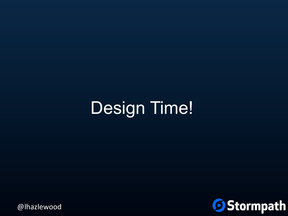# Design Time!

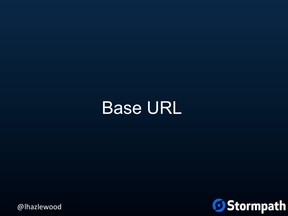## Base URL

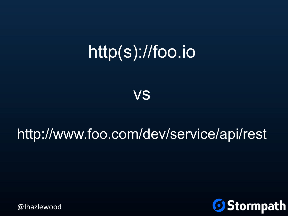# http(s)://foo.io

vs

### http://www.foo.com/dev/service/api/rest

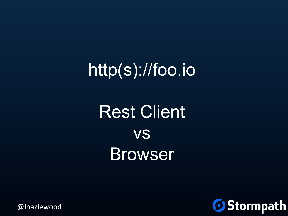# http(s)://foo.io

# **Rest Client VS Browser**

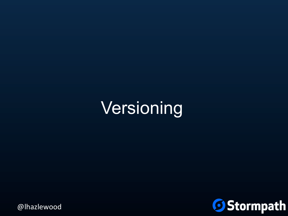# Versioning

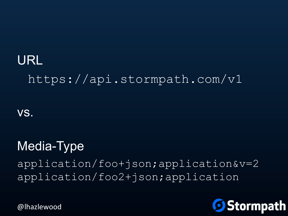### URL https://api.stormpath.com/v1

vs.

### Media-Type

application/foo+json;application&v=2 application/foo2+json;application

**Stormpath**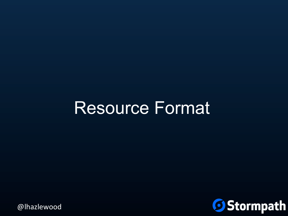#### Resource Format

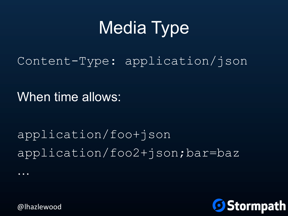# Media Type

Content-Type: application/json

When time allows:

application/foo+json application/foo2+json;bar=baz

Stormpath

@lhazlewood

…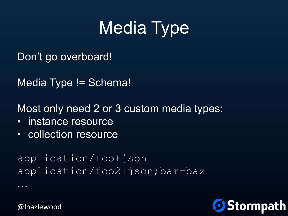# Media Type

Don't go overboard!

Media Type != Schema!

Most only need 2 or 3 custom media types:

- instance resource
- collection resource

application/foo+json application/foo2+json;bar=baz

**Stormpath** 

@lhazlewood

…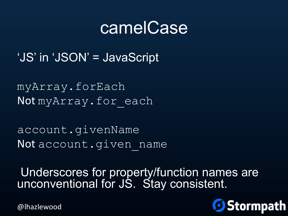#### camelCase

'JS' in 'JSON' = JavaScript

myArray.forEach Not my Array. for each

account.givenName Not account.given name

 Underscores for property/function names are unconventional for JS. Stay consistent.

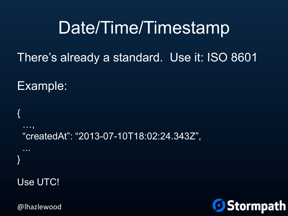### Date/Time/Timestamp

There's already a standard. Use it: ISO 8601

Example:

```
{ 
 …, 
  "createdAt": "2013-07-10T18:02:24.343Z", 
 ... 
} 
Use UTC!
```
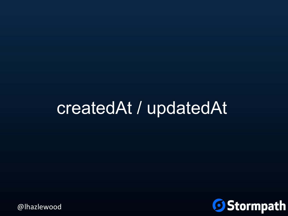#### createdAt / updatedAt

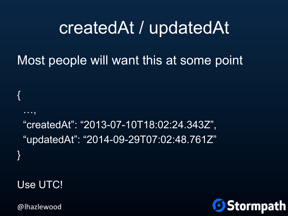#### createdAt / updatedAt

#### Most people will want this at some point

 "createdAt": "2013-07-10T18:02:24.343Z", "updatedAt": "2014-09-29T07:02:48.761Z" }

Use UTC!

{

…,

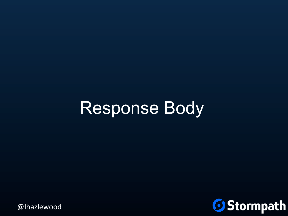## Response Body

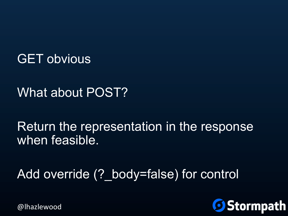GET obvious

What about POST?

Return the representation in the response when feasible.

Add override (? body=false) for control

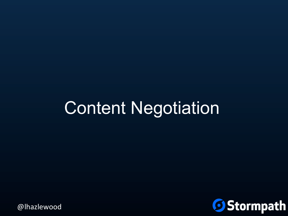# Content Negotiation

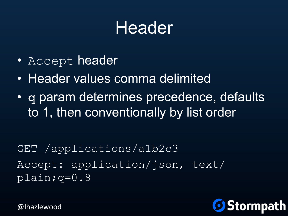### Header

- Accept header
- Header values comma delimited
- q param determines precedence, defaults to 1, then conventionally by list order

GET /applications/a1b2c3 Accept: application/json, text/ plain;q=0.8

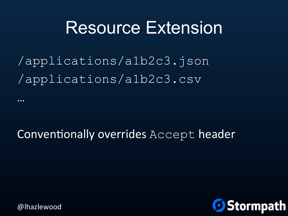#### Resource Extension

/applications/a1b2c3.json /applications/a1b2c3.csv

#### Conventionally overrides Accept header



…<br>…

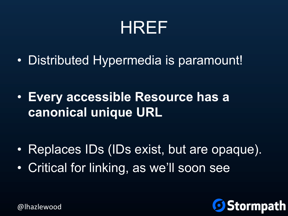

• Distributed Hypermedia is paramount!

• **Every accessible Resource has a canonical unique URL**

- Replaces IDs (IDs exist, but are opaque).
- Critical for linking, as we'll soon see

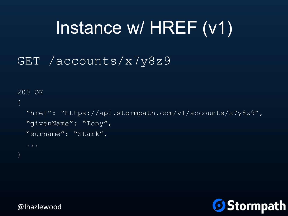# Instance w/ HREF (v1)

#### GET /accounts/x7y8z9

```
200 OK 
\{ "href": "https://api.stormpath.com/v1/accounts/x7y8z9", 
   "givenName": "Tony", 
   "surname": "Stark",
```
}

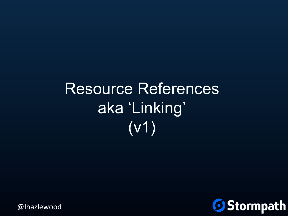# Resource References aka 'Linking' (v1)

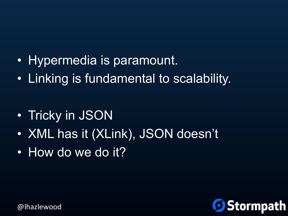- Hypermedia is paramount.
- Linking is fundamental to scalability.

- Tricky in JSON
- XML has it (XLink), JSON doesn't
- How do we do it?

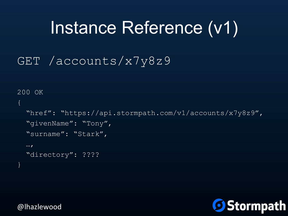## Instance Reference (v1)

#### GET /accounts/x7y8z9

```
200 OK 
\{ "href": "https://api.stormpath.com/v1/accounts/x7y8z9", 
   "givenName": "Tony", 
   "surname": "Stark", 
  \cdots "directory": ???? 
}
```
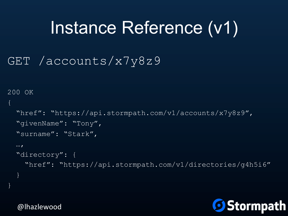# Instance Reference (v1)

#### GET /accounts/x7y8z9

```
200 OK 
\{ "href": "https://api.stormpath.com/v1/accounts/x7y8z9", 
   "givenName": "Tony", 
   "surname": "Stark", 
  \cdots "directory": { 
     "href": "https://api.stormpath.com/v1/directories/g4h5i6" 
 } 
}
```
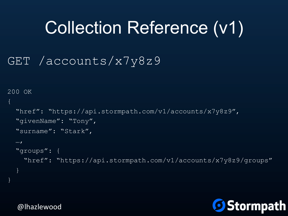# Collection Reference (v1)

#### GET /accounts/x7y8z9

```
200 OK 
{ 
   "href": "https://api.stormpath.com/v1/accounts/x7y8z9", 
  "givenName": "Tony",
   "surname": "Stark", 
  \cdots "groups": { 
     "href": "https://api.stormpath.com/v1/accounts/x7y8z9/groups" 
 } 
}
```
**Stormpath**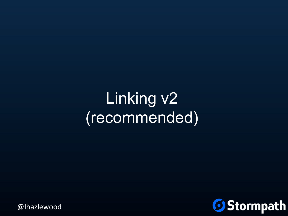### Linking v2 (recommended)

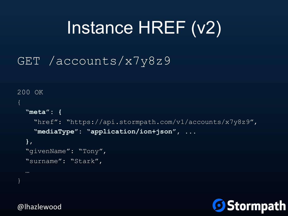# Instance HREF (v2)

#### GET /accounts/x7y8z9

```
200 OK 
{ 
   "meta": { 
     "href": "https://api.stormpath.com/v1/accounts/x7y8z9", 
     "mediaType": "application/ion+json", ... 
   }, 
   "givenName": "Tony", 
   "surname": "Stark", 
}
```
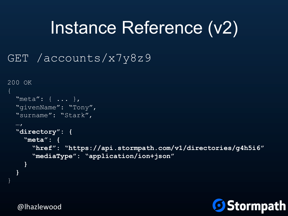## Instance Reference (v2)

#### GET /accounts/x7y8z9

```
200 OK 
{ 
   "meta": { ... }, 
   "givenName": "Tony", 
   "surname": "Stark", 
  \cdots "directory": { 
     "meta": { 
       "href": "https://api.stormpath.com/v1/directories/g4h5i6" 
       "mediaType": "application/ion+json" 
 } 
 } 
}
```
**Stormpath**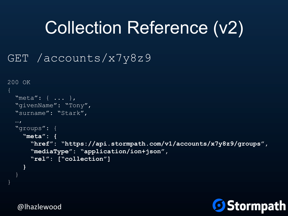# Collection Reference (v2)

#### GET /accounts/x7y8z9

```
200 OK 
{ 
   "meta": { ... }, 
   "givenName": "Tony", 
   "surname": "Stark", 
  \cdots "groups": { 
     "meta": { 
       "href": "https://api.stormpath.com/v1/accounts/x7y8z9/groups", 
       "mediaType": "application/ion+json", 
       "rel": ["collection"] 
 } 
 }
```
**9 Stormpath** 

@lhazlewood

}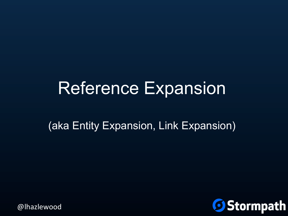#### Reference Expansion

(aka Entity Expansion, Link Expansion)

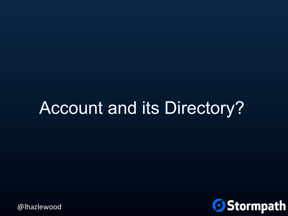# Account and its Directory?

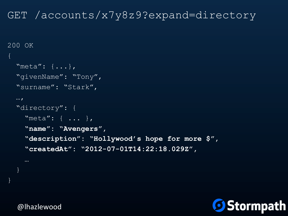#### GET /accounts/x7y8z9?expand=directory

```
200 OK 
{ 
   "meta": {...}, 
   "givenName": "Tony", 
   "surname": "Stark", 
  \cdots "directory": { 
     "meta": { ... }, 
     "name": "Avengers", 
     "description": "Hollywood's hope for more $", 
     "createdAt": "2012-07-01T14:22:18.029Z",
```


@lhazlewood

}

}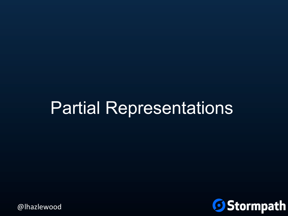### Partial Representations

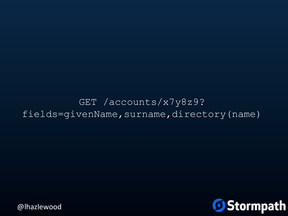#### GET /accounts/x7y8z9? fields=givenName, surname, directory (name)

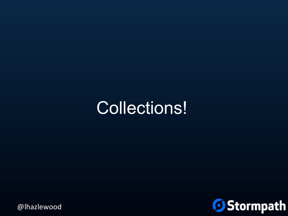### Collections!

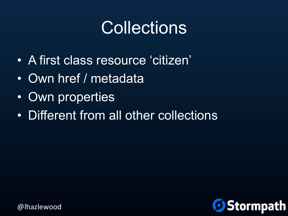# **Collections**

- A first class resource 'citizen'
- Own href / metadata
- Own properties
- Different from all other collections

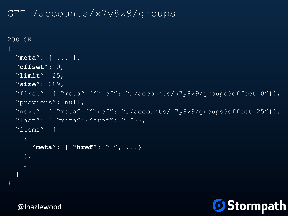#### GET /accounts/x7y8z9/groups

```
200 OK 
{ 
   "meta": { ... }, 
   "offset": 0, 
   "limit": 25, 
   "size": 289, 
  "first": { "meta": {"href": ".../accounts/x7y8z9/groups?offset=0"}},
   "previous": null, 
  "next": { "meta": {"href": ".../accounts/x7y8z9/groups?offset=25"}},
   "last": { "meta":{"href": "…"}}, 
   "items": [ 
     { 
       "meta": { "href": "…", ...} 
     }, 
   ] 
}
```
**Stormpath**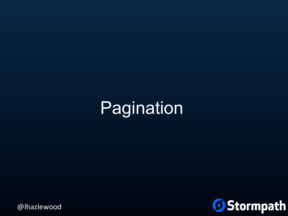# Pagination

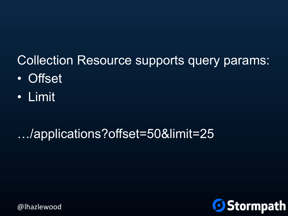#### Collection Resource supports query params:

- Offset
- Limit

#### …/applications?offset=50&limit=25

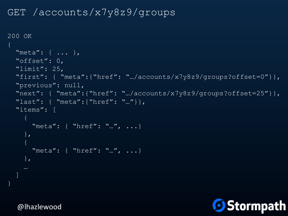#### GET /accounts/x7y8z9/groups

```
200 OK 
{ 
   "meta": { ... }, 
   "offset": 0, 
   "limit": 25, 
   "first": { "meta":{"href": "…/accounts/x7y8z9/groups?offset=0"}}, 
   "previous": null, 
  "next": { "meta":{"href": ".../accounts/x7y8z9/groups?offset=25"}},
   "last": { "meta":{"href": "…"}}, 
   "items": [ 
    \left\{ \right."meta": { "href": "...", ... }
     }, 
    \{"meta": { "href": "...", ... }
     }, 
\blacksquare
```
@lhazlewood

}

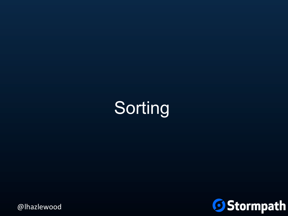

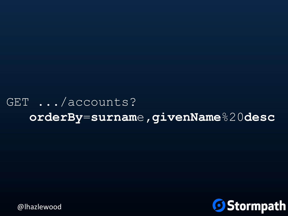#### GET .../accounts? **orderBy**=**surnam**e**,givenName**%20**desc**

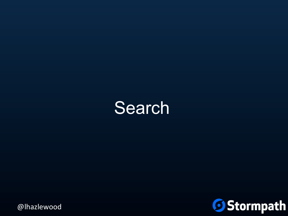### **Search**

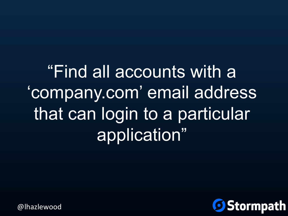"Find all accounts with a 'company.com' email address that can login to a particular application"

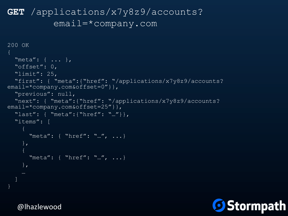```
GET /applications/x7y8z9/accounts? 
         email=*company.com
```

```
200 OK 
   "meta": { ... }, 
   "offset": 0, 
   "limit": 25, 
   "first": { "meta":{"href": "/applications/x7y8z9/accounts?
email=*company.com&offset=0" } },
   "previous": null, 
   "next": { "meta":{"href": "/applications/x7y8z9/accounts?
email=*company.com&offset=25"}},
   "last": { "meta":{"href": "…"}}, 
   "items": [ 
       "meta": { "href": "…", ...} 
     }, 
\mathcal{L}=\mathcal{L}"meta": { "href": "...", ... }
     }, 
\blacksquare
```
}

**9 Stormpath**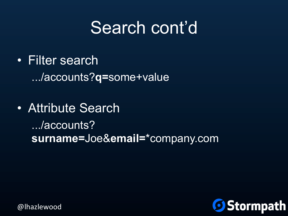### Search cont'd

- Filter search .../accounts?**q=**some+value
- Attribute Search .../accounts? **surname=**Joe&**email=**\*company.com

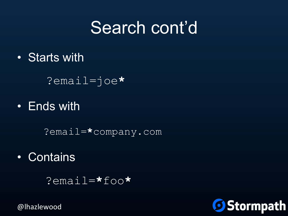## Search cont'd

• Starts with

?email=joe**\***

• Ends with

?email=**\***company.com

• Contains

?email=**\***foo**\*** 

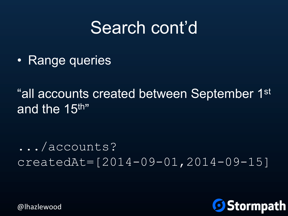### Search cont'd

• Range queries

"all accounts created between September 1st and the 15<sup>th</sup>"

.../accounts? createdAt=[2014-09-01,2014-09-15]

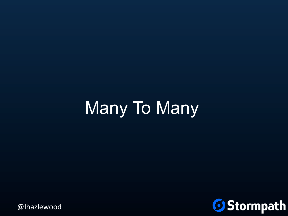# Many To Many

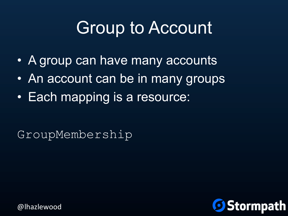# Group to Account

- A group can have many accounts
- An account can be in many groups
- Each mapping is a resource:

GroupMembership

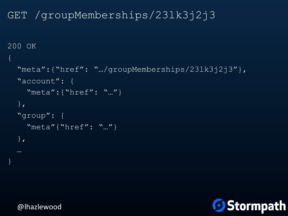```
GET /groupMemberships/23lk3j2j3
```

```
200 OK 
{ 
   "meta":{"href": "…/groupMemberships/23lk3j2j3"}, 
   "account": { 
     "meta":{"href": "…"} 
   }, 
   "group": { 
     "meta"{"href": "…"} 
   }, 
 …
```


}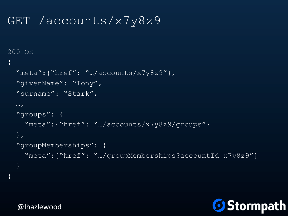#### GET /accounts/x7y8z9

```
200 OK 
{ 
   "meta":{"href": "…/accounts/x7y8z9"}, 
   "givenName": "Tony", 
   "surname": "Stark", 
  \cdots "groups": { 
     "meta":{"href": "…/accounts/x7y8z9/groups"} 
   }, 
   "groupMemberships": { 
     "meta":{"href": "…/groupMemberships?accountId=x7y8z9"} 
 } 
}
```
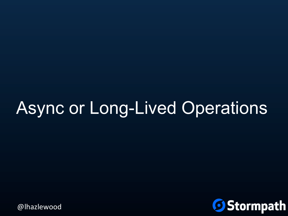# Async or Long-Lived Operations

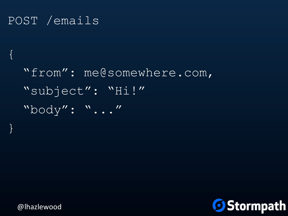#### POST /emails

 $\{$ 

}

```
 "from": me@somewhere.com, 
 "subject": "Hi!" 
 "body": "..."
```
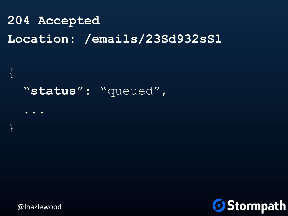#### **204 Accepted Location: /emails/23Sd932sSl**

#### "**status**": "queued",

 ... }

@lhazlewood

 $\{$ 

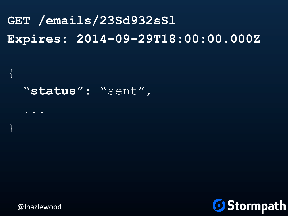#### **GET /emails/23Sd932sSl Expires: 2014-09-29T18:00:00.000Z**

#### "**status**": "sent",

}

...

 $\{$ 

@lhazlewood

**Stormpath**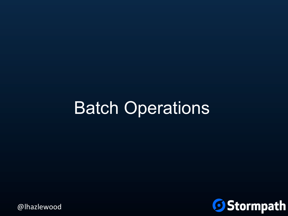## Batch Operations

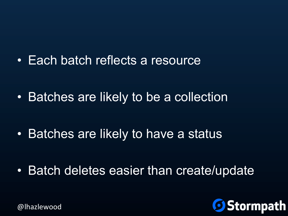• Each batch reflects a resource

• Batches are likely to be a collection

• Batches are likely to have a status

• Batch deletes easier than create/update

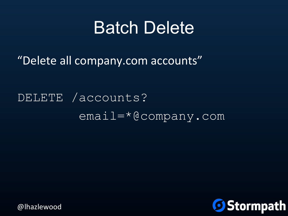#### **Batch Delete**

"Delete all company.com accounts"

DELETE /accounts? email=\*@company.com

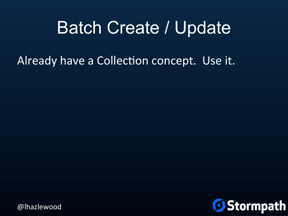### Batch Create / Update

Already have a Collection concept. Use it.

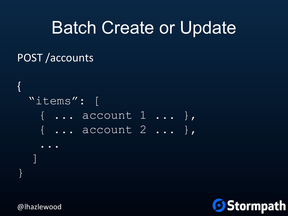### Batch Create or Update

#### POST /accounts



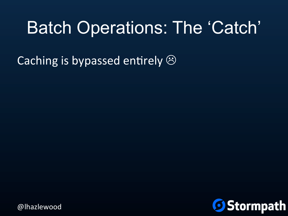### Batch Operations: The 'Catch'

Caching is bypassed entirely  $\odot$ 

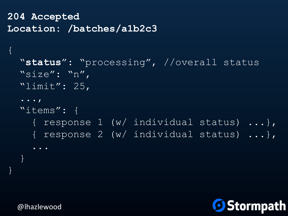**204 Accepted Location: /batches/a1b2c3** 

```
 "status": "processing", //overall status 
   "size": "n", 
  "limit": 25,
   ..., 
   "items": { 
     { response 1 (w/ individual status) ...}, 
     { response 2 (w/ individual status) ...}, 
     ... 
 }
```


@lhazlewood

 $\{$ 

}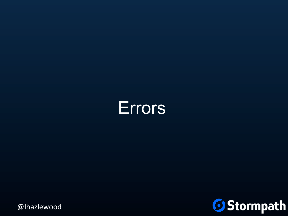

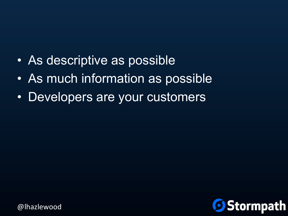- As descriptive as possible
- As much information as possible
- Developers are your customers

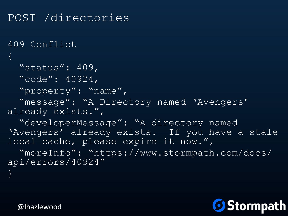```
POST /directories 
409 Conflict 
\{ "status": 409, 
   "code": 40924, 
   "property": "name", 
   "message": "A Directory named 'Avengers' 
already exists.", 
   "developerMessage": "A directory named 
'Avengers' already exists. If you have a stale
local cache, please expire it now.", 
   "moreInfo": "https://www.stormpath.com/docs/
api/errors/40924" 
}
```
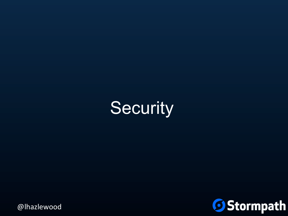

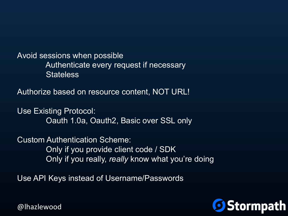Avoid sessions when possible Authenticate every request if necessary **Stateless** 

Authorize based on resource content, NOT URL!

Use Existing Protocol: Oauth 1.0a, Oauth2, Basic over SSL only

Custom Authentication Scheme: Only if you provide client code / SDK Only if you really, *really* know what you're doing

Use API Keys instead of Username/Passwords

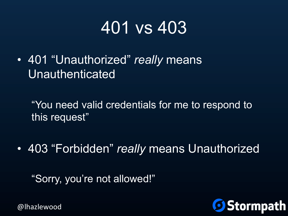## 401 vs 403

• 401 "Unauthorized" *really* means Unauthenticated

"You need valid credentials for me to respond to this request"

• 403 "Forbidden" *really* means Unauthorized

"Sorry, you're not allowed!"

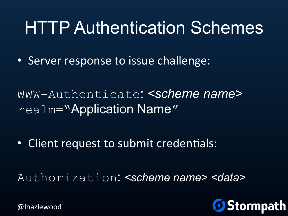# HTTP Authentication Schemes

• Server response to issue challenge:

WWW-Authenticate: *<scheme name>*  realm="Application Name"

• Client request to submit credentials:

Authorization: *<scheme name> <data>* 

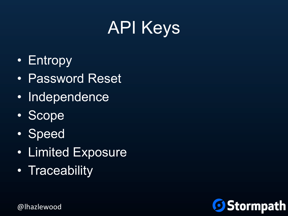# API Keys

- Entropy
- Password Reset
- Independence
- Scope
- Speed
- Limited Exposure
- Traceability

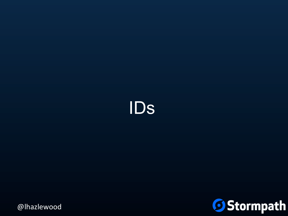

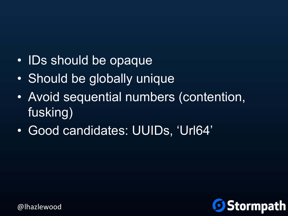- IDs should be opaque
- Should be globally unique
- Avoid sequential numbers (contention, fusking)
- Good candidates: UUIDs, 'Url64'

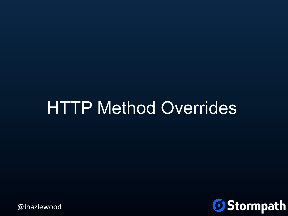# HTTP Method Overrides

**Stormpath**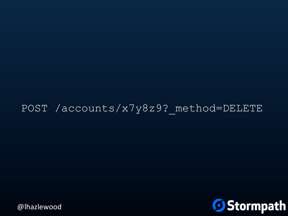#### POST /accounts/x7y8z9? method=DELETE

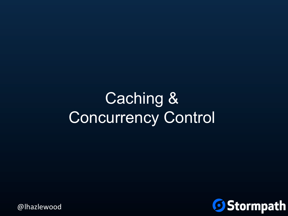### Caching & Concurrency Control

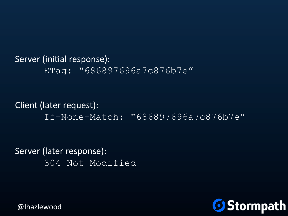#### Server (initial response): ETag: "686897696a7c876b7e"

#### Client (later request): If-None-Match: "686897696a7c876b7e"

Server (later response): 304 Not Modified

**Stormpath**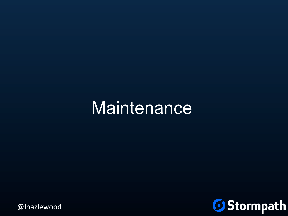### **Maintenance**

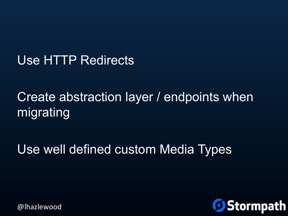## Use HTTP Redirects

## Create abstraction layer / endpoints when migrating

## Use well defined custom Media Types



@lhazlewood